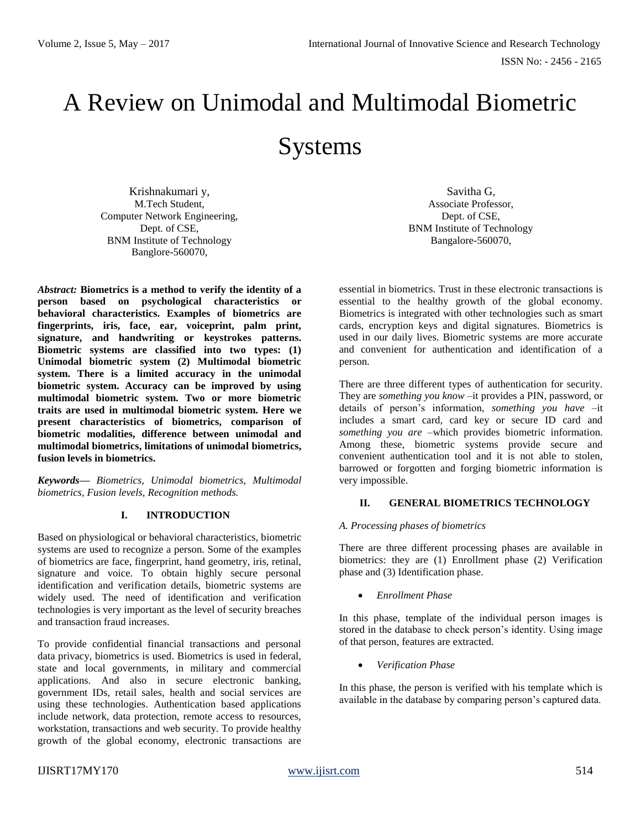# A Review on Unimodal and Multimodal Biometric Systems

Krishnakumari y, M.Tech Student, Computer Network Engineering, Dept. of CSE, BNM Institute of Technology Banglore-560070,

*Abstract:* **Biometrics is a method to verify the identity of a person based on psychological characteristics or behavioral characteristics. Examples of biometrics are fingerprints, iris, face, ear, voiceprint, palm print, signature, and handwriting or keystrokes patterns. Biometric systems are classified into two types: (1) Unimodal biometric system (2) Multimodal biometric system. There is a limited accuracy in the unimodal biometric system. Accuracy can be improved by using multimodal biometric system. Two or more biometric traits are used in multimodal biometric system. Here we present characteristics of biometrics, comparison of biometric modalities, difference between unimodal and multimodal biometrics, limitations of unimodal biometrics, fusion levels in biometrics.**

*Keywords— Biometrics, Unimodal biometrics, Multimodal biometrics, Fusion levels, Recognition methods.* 

# **I. INTRODUCTION**

Based on physiological or behavioral characteristics, biometric systems are used to recognize a person. Some of the examples of biometrics are face, fingerprint, hand geometry, iris, retinal, signature and voice. To obtain highly secure personal identification and verification details, biometric systems are widely used. The need of identification and verification technologies is very important as the level of security breaches and transaction fraud increases.

To provide confidential financial transactions and personal data privacy, biometrics is used. Biometrics is used in federal, state and local governments, in military and commercial applications. And also in secure electronic banking, government IDs, retail sales, health and social services are using these technologies. Authentication based applications include network, data protection, remote access to resources, workstation, transactions and web security. To provide healthy growth of the global economy, electronic transactions are

Savitha G, Associate Professor, Dept. of CSE, BNM Institute of Technology Bangalore-560070,

essential in biometrics. Trust in these electronic transactions is essential to the healthy growth of the global economy. Biometrics is integrated with other technologies such as smart cards, encryption keys and digital signatures. Biometrics is used in our daily lives. Biometric systems are more accurate and convenient for authentication and identification of a person.

There are three different types of authentication for security. They are *something you know* –it provides a PIN, password, or details of person's information, *something you have –*it includes a smart card, card key or secure ID card and *something you are* –which provides biometric information. Among these, biometric systems provide secure and convenient authentication tool and it is not able to stolen, barrowed or forgotten and forging biometric information is very impossible.

#### **II. GENERAL BIOMETRICS TECHNOLOGY**

#### *A. Processing phases of biometrics*

There are three different processing phases are available in biometrics: they are (1) Enrollment phase (2) Verification phase and (3) Identification phase.

*Enrollment Phase*

In this phase, template of the individual person images is stored in the database to check person's identity. Using image of that person, features are extracted.

*Verification Phase*

In this phase, the person is verified with his template which is available in the database by comparing person's captured data.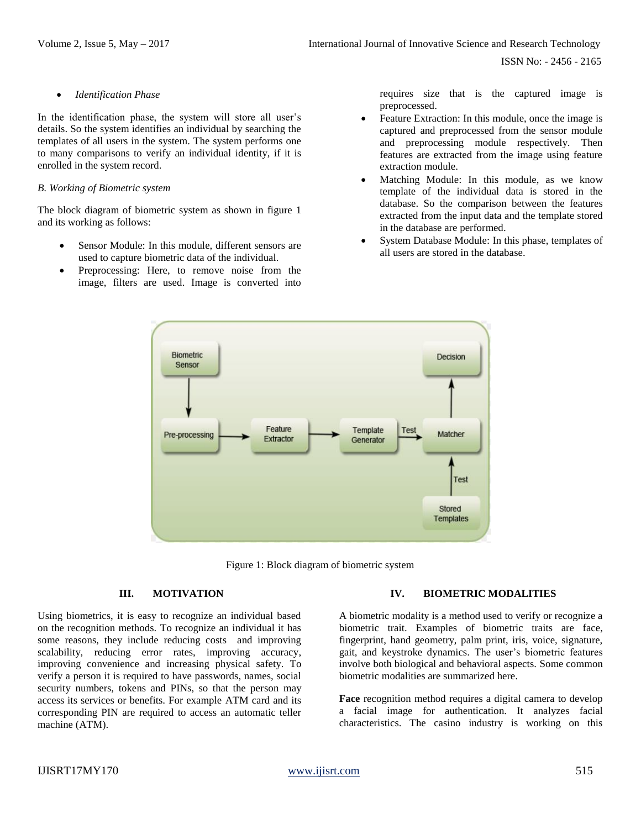ISSN No: - 2456 - 2165

*Identification Phase*

In the identification phase, the system will store all user's details. So the system identifies an individual by searching the templates of all users in the system. The system performs one to many comparisons to verify an individual identity, if it is enrolled in the system record.

#### *B. Working of Biometric system*

The block diagram of biometric system as shown in figure 1 and its working as follows:

- Sensor Module: In this module, different sensors are used to capture biometric data of the individual.
- Preprocessing: Here, to remove noise from the image, filters are used. Image is converted into

requires size that is the captured image is preprocessed.

- Feature Extraction: In this module, once the image is captured and preprocessed from the sensor module and preprocessing module respectively. Then features are extracted from the image using feature extraction module.
- Matching Module: In this module, as we know template of the individual data is stored in the database. So the comparison between the features extracted from the input data and the template stored in the database are performed.
- System Database Module: In this phase, templates of all users are stored in the database.



Figure 1: Block diagram of biometric system

# **III. MOTIVATION**

Using biometrics, it is easy to recognize an individual based on the recognition methods. To recognize an individual it has some reasons, they include reducing costs and improving scalability, reducing error rates, improving accuracy, improving convenience and increasing physical safety. To verify a person it is required to have passwords, names, social security numbers, tokens and PINs, so that the person may access its services or benefits. For example ATM card and its corresponding PIN are required to access an automatic teller machine (ATM).

# **IV. BIOMETRIC MODALITIES**

A biometric modality is a method used to verify or recognize a biometric trait. Examples of biometric traits are face, fingerprint, hand geometry, palm print, iris, voice, signature, gait, and keystroke dynamics. The user's biometric features involve both biological and behavioral aspects. Some common biometric modalities are summarized here.

**Face** recognition method requires a digital camera to develop a facial image for authentication. It analyzes facial characteristics. The casino industry is working on this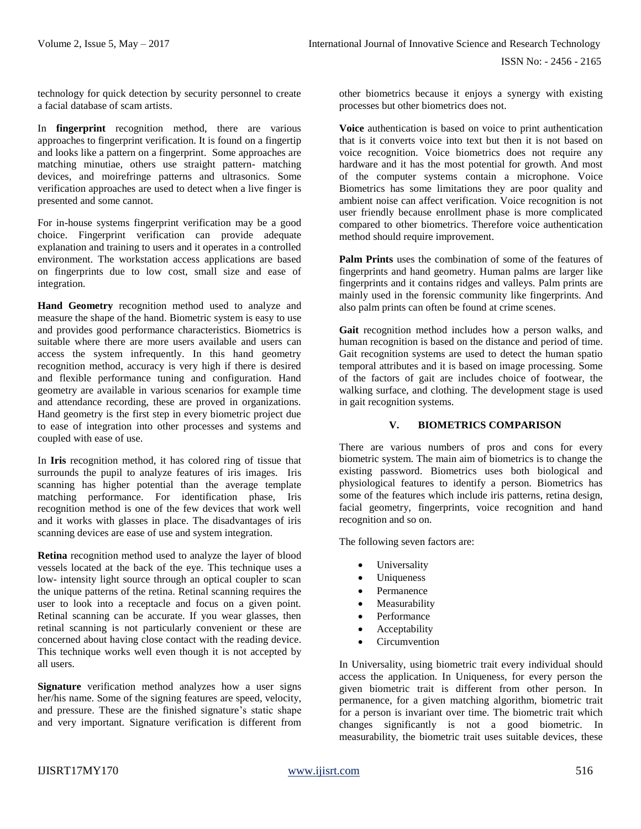technology for quick detection by security personnel to create a facial database of scam artists.

In **fingerprint** recognition method, there are various approaches to fingerprint verification. It is found on a fingertip and looks like a pattern on a fingerprint. Some approaches are matching minutiae, others use straight pattern- matching devices, and moirefringe patterns and ultrasonics. Some verification approaches are used to detect when a live finger is presented and some cannot.

For in-house systems fingerprint verification may be a good choice. Fingerprint verification can provide adequate explanation and training to users and it operates in a controlled environment. The workstation access applications are based on fingerprints due to low cost, small size and ease of integration.

**Hand Geometry** recognition method used to analyze and measure the shape of the hand. Biometric system is easy to use and provides good performance characteristics. Biometrics is suitable where there are more users available and users can access the system infrequently. In this hand geometry recognition method, accuracy is very high if there is desired and flexible performance tuning and configuration. Hand geometry are available in various scenarios for example time and attendance recording, these are proved in organizations. Hand geometry is the first step in every biometric project due to ease of integration into other processes and systems and coupled with ease of use.

In **Iris** recognition method, it has colored ring of tissue that surrounds the pupil to analyze features of iris images. Iris scanning has higher potential than the average template matching performance. For identification phase, Iris recognition method is one of the few devices that work well and it works with glasses in place. The disadvantages of iris scanning devices are ease of use and system integration.

**Retina** recognition method used to analyze the layer of blood vessels located at the back of the eye. This technique uses a low- intensity light source through an optical coupler to scan the unique patterns of the retina. Retinal scanning requires the user to look into a receptacle and focus on a given point. Retinal scanning can be accurate. If you wear glasses, then retinal scanning is not particularly convenient or these are concerned about having close contact with the reading device. This technique works well even though it is not accepted by all users.

**Signature** verification method analyzes how a user signs her/his name. Some of the signing features are speed, velocity, and pressure. These are the finished signature's static shape and very important. Signature verification is different from other biometrics because it enjoys a synergy with existing processes but other biometrics does not.

**Voice** authentication is based on voice to print authentication that is it converts voice into text but then it is not based on voice recognition. Voice biometrics does not require any hardware and it has the most potential for growth. And most of the computer systems contain a microphone. Voice Biometrics has some limitations they are poor quality and ambient noise can affect verification. Voice recognition is not user friendly because enrollment phase is more complicated compared to other biometrics. Therefore voice authentication method should require improvement.

**Palm Prints** uses the combination of some of the features of fingerprints and hand geometry. Human palms are larger like fingerprints and it contains ridges and valleys. Palm prints are mainly used in the forensic community like fingerprints. And also palm prints can often be found at crime scenes.

**Gait** recognition method includes how a person walks, and human recognition is based on the distance and period of time. Gait recognition systems are used to detect the human spatio temporal attributes and it is based on image processing. Some of the factors of gait are includes choice of footwear, the walking surface, and clothing. The development stage is used in gait recognition systems.

# **V. BIOMETRICS COMPARISON**

There are various numbers of pros and cons for every biometric system. The main aim of biometrics is to change the existing password. Biometrics uses both biological and physiological features to identify a person. Biometrics has some of the features which include iris patterns, retina design, facial geometry, fingerprints, voice recognition and hand recognition and so on.

The following seven factors are:

- Universality
- Uniqueness
- Permanence
- Measurability
- Performance
- Acceptability
- Circumvention

In Universality, using biometric trait every individual should access the application. In Uniqueness, for every person the given biometric trait is different from other person. In permanence, for a given matching algorithm, biometric trait for a person is invariant over time. The biometric trait which changes significantly is not a good biometric. In measurability, the biometric trait uses suitable devices, these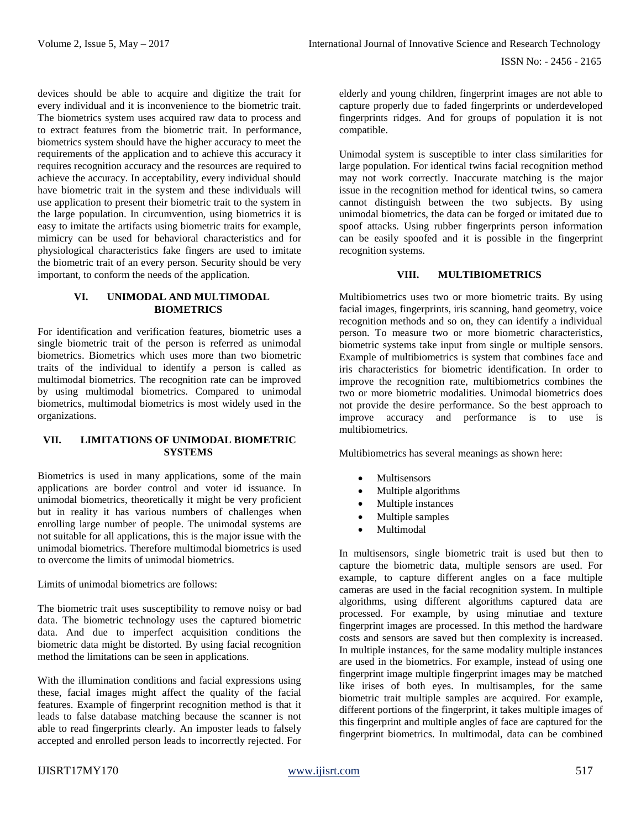devices should be able to acquire and digitize the trait for every individual and it is inconvenience to the biometric trait. The biometrics system uses acquired raw data to process and to extract features from the biometric trait. In performance, biometrics system should have the higher accuracy to meet the requirements of the application and to achieve this accuracy it requires recognition accuracy and the resources are required to achieve the accuracy. In acceptability, every individual should have biometric trait in the system and these individuals will use application to present their biometric trait to the system in the large population. In circumvention, using biometrics it is easy to imitate the artifacts using biometric traits for example, mimicry can be used for behavioral characteristics and for physiological characteristics fake fingers are used to imitate the biometric trait of an every person. Security should be very important, to conform the needs of the application.

#### **VI. UNIMODAL AND MULTIMODAL BIOMETRICS**

For identification and verification features, biometric uses a single biometric trait of the person is referred as unimodal biometrics. Biometrics which uses more than two biometric traits of the individual to identify a person is called as multimodal biometrics. The recognition rate can be improved by using multimodal biometrics. Compared to unimodal biometrics, multimodal biometrics is most widely used in the organizations.

#### **VII. LIMITATIONS OF UNIMODAL BIOMETRIC SYSTEMS**

Biometrics is used in many applications, some of the main applications are border control and voter id issuance. In unimodal biometrics, theoretically it might be very proficient but in reality it has various numbers of challenges when enrolling large number of people. The unimodal systems are not suitable for all applications, this is the major issue with the unimodal biometrics. Therefore multimodal biometrics is used to overcome the limits of unimodal biometrics.

Limits of unimodal biometrics are follows:

The biometric trait uses susceptibility to remove noisy or bad data. The biometric technology uses the captured biometric data. And due to imperfect acquisition conditions the biometric data might be distorted. By using facial recognition method the limitations can be seen in applications.

With the illumination conditions and facial expressions using these, facial images might affect the quality of the facial features. Example of fingerprint recognition method is that it leads to false database matching because the scanner is not able to read fingerprints clearly. An imposter leads to falsely accepted and enrolled person leads to incorrectly rejected. For

elderly and young children, fingerprint images are not able to capture properly due to faded fingerprints or underdeveloped fingerprints ridges. And for groups of population it is not compatible.

Unimodal system is susceptible to inter class similarities for large population. For identical twins facial recognition method may not work correctly. Inaccurate matching is the major issue in the recognition method for identical twins, so camera cannot distinguish between the two subjects. By using unimodal biometrics, the data can be forged or imitated due to spoof attacks. Using rubber fingerprints person information can be easily spoofed and it is possible in the fingerprint recognition systems.

# **VIII. MULTIBIOMETRICS**

Multibiometrics uses two or more biometric traits. By using facial images, fingerprints, iris scanning, hand geometry, voice recognition methods and so on, they can identify a individual person. To measure two or more biometric characteristics, biometric systems take input from single or multiple sensors. Example of multibiometrics is system that combines face and iris characteristics for biometric identification. In order to improve the recognition rate, multibiometrics combines the two or more biometric modalities. Unimodal biometrics does not provide the desire performance. So the best approach to improve accuracy and performance is to use is multibiometrics.

Multibiometrics has several meanings as shown here:

- Multisensors
- Multiple algorithms
- Multiple instances
- Multiple samples
- Multimodal

In multisensors, single biometric trait is used but then to capture the biometric data, multiple sensors are used. For example, to capture different angles on a face multiple cameras are used in the facial recognition system. In multiple algorithms, using different algorithms captured data are processed. For example, by using minutiae and texture fingerprint images are processed. In this method the hardware costs and sensors are saved but then complexity is increased. In multiple instances, for the same modality multiple instances are used in the biometrics. For example, instead of using one fingerprint image multiple fingerprint images may be matched like irises of both eyes. In multisamples, for the same biometric trait multiple samples are acquired. For example, different portions of the fingerprint, it takes multiple images of this fingerprint and multiple angles of face are captured for the fingerprint biometrics. In multimodal, data can be combined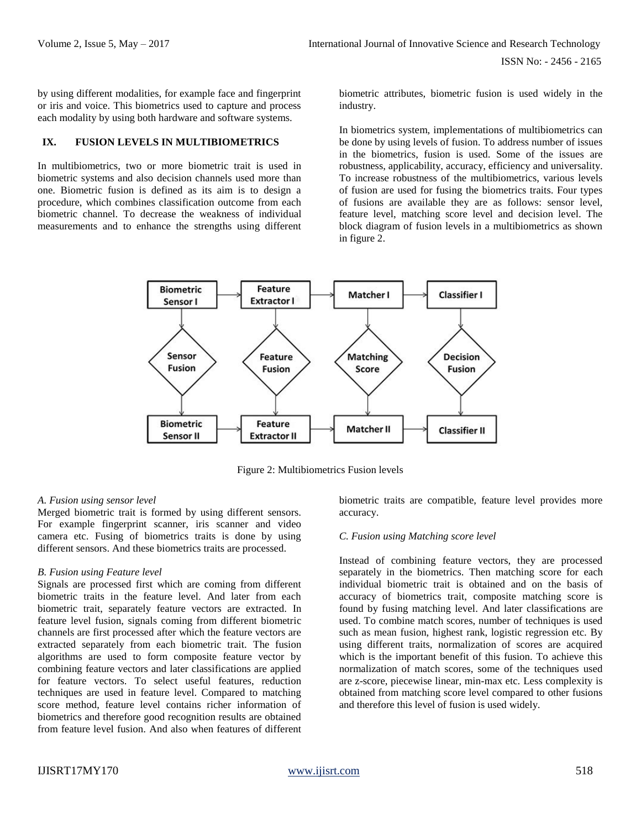by using different modalities, for example face and fingerprint or iris and voice. This biometrics used to capture and process each modality by using both hardware and software systems.

#### **IX. FUSION LEVELS IN MULTIBIOMETRICS**

In multibiometrics, two or more biometric trait is used in biometric systems and also decision channels used more than one. Biometric fusion is defined as its aim is to design a procedure, which combines classification outcome from each biometric channel. To decrease the weakness of individual measurements and to enhance the strengths using different biometric attributes, biometric fusion is used widely in the industry.

In biometrics system, implementations of multibiometrics can be done by using levels of fusion. To address number of issues in the biometrics, fusion is used. Some of the issues are robustness, applicability, accuracy, efficiency and universality. To increase robustness of the multibiometrics, various levels of fusion are used for fusing the biometrics traits. Four types of fusions are available they are as follows: sensor level, feature level, matching score level and decision level. The block diagram of fusion levels in a multibiometrics as shown in figure 2.



Figure 2: Multibiometrics Fusion levels

# *A. Fusion using sensor level*

Merged biometric trait is formed by using different sensors. For example fingerprint scanner, iris scanner and video camera etc. Fusing of biometrics traits is done by using different sensors. And these biometrics traits are processed.

# *B. Fusion using Feature level*

Signals are processed first which are coming from different biometric traits in the feature level. And later from each biometric trait, separately feature vectors are extracted. In feature level fusion, signals coming from different biometric channels are first processed after which the feature vectors are extracted separately from each biometric trait. The fusion algorithms are used to form composite feature vector by combining feature vectors and later classifications are applied for feature vectors. To select useful features, reduction techniques are used in feature level. Compared to matching score method, feature level contains richer information of biometrics and therefore good recognition results are obtained from feature level fusion. And also when features of different biometric traits are compatible, feature level provides more accuracy.

#### *C. Fusion using Matching score level*

Instead of combining feature vectors, they are processed separately in the biometrics. Then matching score for each individual biometric trait is obtained and on the basis of accuracy of biometrics trait, composite matching score is found by fusing matching level. And later classifications are used. To combine match scores, number of techniques is used such as mean fusion, highest rank, logistic regression etc. By using different traits, normalization of scores are acquired which is the important benefit of this fusion. To achieve this normalization of match scores, some of the techniques used are z-score, piecewise linear, min-max etc. Less complexity is obtained from matching score level compared to other fusions and therefore this level of fusion is used widely.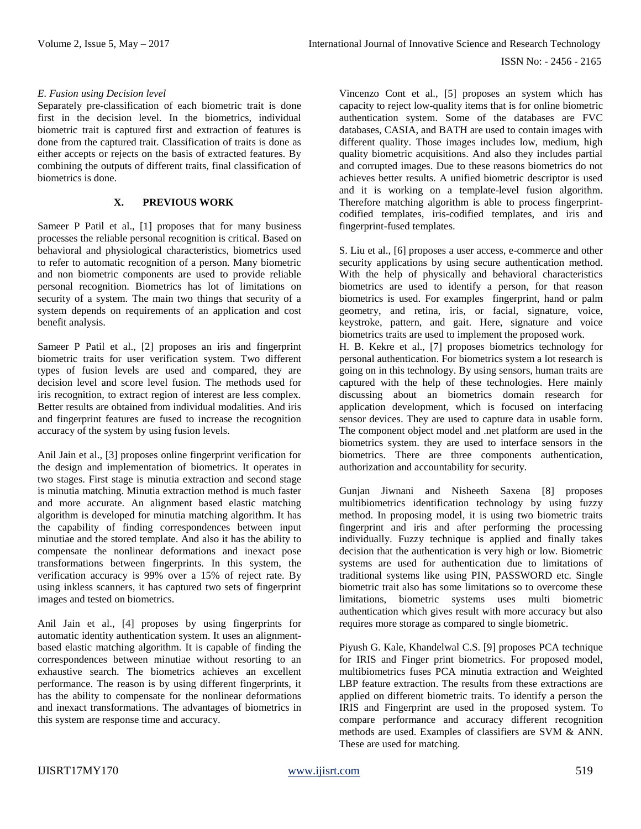#### *E. Fusion using Decision level*

Separately pre-classification of each biometric trait is done first in the decision level. In the biometrics, individual biometric trait is captured first and extraction of features is done from the captured trait. Classification of traits is done as either accepts or rejects on the basis of extracted features. By combining the outputs of different traits, final classification of biometrics is done.

## **X. PREVIOUS WORK**

Sameer P Patil et al., [1] proposes that for many business processes the reliable personal recognition is critical. Based on behavioral and physiological characteristics, biometrics used to refer to automatic recognition of a person. Many biometric and non biometric components are used to provide reliable personal recognition. Biometrics has lot of limitations on security of a system. The main two things that security of a system depends on requirements of an application and cost benefit analysis.

Sameer P Patil et al., [2] proposes an iris and fingerprint biometric traits for user verification system. Two different types of fusion levels are used and compared, they are decision level and score level fusion. The methods used for iris recognition, to extract region of interest are less complex. Better results are obtained from individual modalities. And iris and fingerprint features are fused to increase the recognition accuracy of the system by using fusion levels.

Anil Jain et al., [3] proposes online fingerprint verification for the design and implementation of biometrics. It operates in two stages. First stage is minutia extraction and second stage is minutia matching. Minutia extraction method is much faster and more accurate. An alignment based elastic matching algorithm is developed for minutia matching algorithm. It has the capability of finding correspondences between input minutiae and the stored template. And also it has the ability to compensate the nonlinear deformations and inexact pose transformations between fingerprints. In this system, the verification accuracy is 99% over a 15% of reject rate. By using inkless scanners, it has captured two sets of fingerprint images and tested on biometrics.

Anil Jain et al., [4] proposes by using fingerprints for automatic identity authentication system. It uses an alignmentbased elastic matching algorithm. It is capable of finding the correspondences between minutiae without resorting to an exhaustive search. The biometrics achieves an excellent performance. The reason is by using different fingerprints, it has the ability to compensate for the nonlinear deformations and inexact transformations. The advantages of biometrics in this system are response time and accuracy.

Vincenzo Cont et al., [5] proposes an system which has capacity to reject low-quality items that is for online biometric authentication system. Some of the databases are FVC databases, CASIA, and BATH are used to contain images with different quality. Those images includes low, medium, high quality biometric acquisitions. And also they includes partial and corrupted images. Due to these reasons biometrics do not achieves better results. A unified biometric descriptor is used and it is working on a template-level fusion algorithm. Therefore matching algorithm is able to process fingerprintcodified templates, iris-codified templates, and iris and fingerprint-fused templates.

S. Liu et al., [6] proposes a user access, e-commerce and other security applications by using secure authentication method. With the help of physically and behavioral characteristics biometrics are used to identify a person, for that reason biometrics is used. For examples fingerprint, hand or palm geometry, and retina, iris, or facial, signature, voice, keystroke, pattern, and gait. Here, signature and voice biometrics traits are used to implement the proposed work.

H. B. Kekre et al., [7] proposes biometrics technology for personal authentication. For biometrics system a lot research is going on in this technology. By using sensors, human traits are captured with the help of these technologies. Here mainly discussing about an biometrics domain research for application development, which is focused on interfacing sensor devices. They are used to capture data in usable form. The component object model and .net platform are used in the biometrics system. they are used to interface sensors in the biometrics. There are three components authentication, authorization and accountability for security.

Gunjan Jiwnani and Nisheeth Saxena [8] proposes multibiometrics identification technology by using fuzzy method. In proposing model, it is using two biometric traits fingerprint and iris and after performing the processing individually. Fuzzy technique is applied and finally takes decision that the authentication is very high or low. Biometric systems are used for authentication due to limitations of traditional systems like using PIN, PASSWORD etc. Single biometric trait also has some limitations so to overcome these limitations, biometric systems uses multi biometric authentication which gives result with more accuracy but also requires more storage as compared to single biometric.

Piyush G. Kale, Khandelwal C.S. [9] proposes PCA technique for IRIS and Finger print biometrics. For proposed model, multibiometrics fuses PCA minutia extraction and Weighted LBP feature extraction. The results from these extractions are applied on different biometric traits. To identify a person the IRIS and Fingerprint are used in the proposed system. To compare performance and accuracy different recognition methods are used. Examples of classifiers are SVM & ANN. These are used for matching.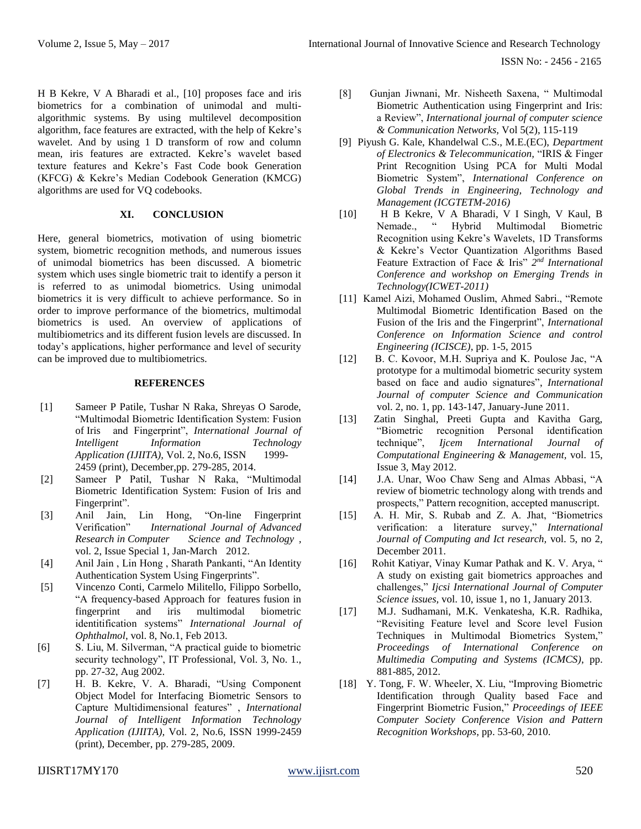ISSN No: - 2456 - 2165

H B Kekre, V A Bharadi et al., [10] proposes face and iris biometrics for a combination of unimodal and multialgorithmic systems. By using multilevel decomposition algorithm, face features are extracted, with the help of Kekre's wavelet. And by using 1 D transform of row and column mean, iris features are extracted. Kekre's wavelet based texture features and Kekre's Fast Code book Generation (KFCG) & Kekre's Median Codebook Generation (KMCG) algorithms are used for VQ codebooks.

## **XI. CONCLUSION**

Here, general biometrics, motivation of using biometric system, biometric recognition methods, and numerous issues of unimodal biometrics has been discussed. A biometric system which uses single biometric trait to identify a person it is referred to as unimodal biometrics. Using unimodal biometrics it is very difficult to achieve performance. So in order to improve performance of the biometrics, multimodal biometrics is used. An overview of applications of multibiometrics and its different fusion levels are discussed. In today's applications, higher performance and level of security can be improved due to multibiometrics.

#### **REFERENCES**

- [1] Sameer P Patile, Tushar N Raka, Shreyas O Sarode, "Multimodal Biometric Identification System: Fusion of Iris and Fingerprint", *International Journal of Intelligent Information Technology Application (IJIITA), Vol. 2, No.6, ISSN* 2459 (print), December,pp. 279-285, 2014.
- [2] Sameer P Patil, Tushar N Raka, "Multimodal Biometric Identification System: Fusion of Iris and Fingerprint".
- [3] Anil Jain, Lin Hong, "On-line Fingerprint Verification" *International Journal of Advanced Research in Computer Science and Technology ,*  vol. 2, Issue Special 1, Jan-March 2012.
- [4] Anil Jain , Lin Hong , Sharath Pankanti, "An Identity Authentication System Using Fingerprints".
- [5] Vincenzo Conti, Carmelo Militello, Filippo Sorbello, "A frequency-based Approach for features fusion in fingerprint and iris multimodal biometric identitification systems" *International Journal of Ophthalmol*, vol. 8, No.1, Feb 2013.
- [6] S. Liu, M. Silverman, "A practical guide to biometric security technology", IT Professional, Vol. 3, No. 1., pp. 27-32, Aug 2002.
- [7] H. B. Kekre, V. A. Bharadi, "Using Component Object Model for Interfacing Biometric Sensors to Capture Multidimensional features" , *International Journal of Intelligent Information Technology Application (IJIITA),* Vol. 2, No.6, ISSN 1999-2459 (print), December, pp. 279-285, 2009.
- [8] Gunjan Jiwnani, Mr. Nisheeth Saxena, " Multimodal Biometric Authentication using Fingerprint and Iris: a Review", *International journal of computer science & Communication Networks,* Vol 5(2), 115-119
- [9] Piyush G. Kale, Khandelwal C.S., M.E.(EC), *Department of Electronics & Telecommunication,* "IRIS & Finger Print Recognition Using PCA for Multi Modal Biometric System", *International Conference on Global Trends in Engineering, Technology and Management (ICGTETM-2016)*
- [10] H B Kekre, V A Bharadi, V I Singh, V Kaul, B Nemade., " Hybrid Multimodal Biometric Recognition using Kekre's Wavelets, 1D Transforms & Kekre's Vector Quantization Algorithms Based Feature Extraction of Face & Iris" 2<sup>nd</sup> International *Conference and workshop on Emerging Trends in Technology(ICWET-2011)*
- [11] Kamel Aizi, Mohamed Ouslim, Ahmed Sabri., "Remote Multimodal Biometric Identification Based on the Fusion of the Iris and the Fingerprint", *International Conference on Information Science and control Engineering (ICISCE)*, pp. 1-5, 2015
- [12] B. C. Kovoor, M.H. Supriya and K. Poulose Jac, "A prototype for a multimodal biometric security system based on face and audio signatures", *International Journal of computer Science and Communication*  vol. 2, no. 1, pp. 143-147, January-June 2011.
- [13] Zatin Singhal, Preeti Gupta and Kavitha Garg, "Biometric recognition Personal identification technique", *Ijcem International Journal of Computational Engineering & Management,* vol. 15, Issue 3, May 2012.
- [14] J.A. Unar, Woo Chaw Seng and Almas Abbasi, "A review of biometric technology along with trends and prospects," Pattern recognition, accepted manuscript.
- [15] A. H. Mir, S. Rubab and Z. A. Jhat, "Biometrics verification: a literature survey," *International Journal of Computing and Ict research,* vol. 5, no 2, December 2011.
- [16] Rohit Katiyar, Vinay Kumar Pathak and K. V. Arya, " A study on existing gait biometrics approaches and challenges," *Ijcsi International Journal of Computer Science issues,* vol. 10, issue 1, no 1, January 2013.
- [17] M.J. Sudhamani, M.K. Venkatesha, K.R. Radhika, "Revisiting Feature level and Score level Fusion Techniques in Multimodal Biometrics System," *Proceedings of International Conference on Multimedia Computing and Systems (ICMCS)*, pp. 881-885, 2012.
- [18] Y. Tong, F. W. Wheeler, X. Liu, "Improving Biometric Identification through Quality based Face and Fingerprint Biometric Fusion," *Proceedings of IEEE Computer Society Conference Vision and Pattern Recognition Workshops*, pp. 53-60, 2010.